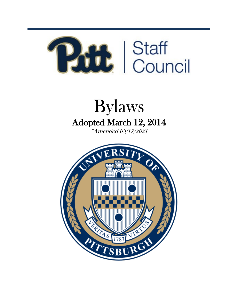

# Bylaws Adopted March 12, 2014 \*Amended 03/17/2021

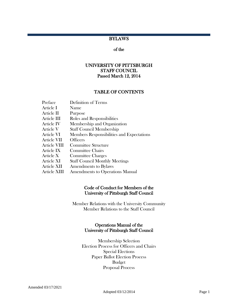# **BYLAWS**

# of the

# UNIVERSITY OF PITTSBURGH STAFF COUNCIL Passed March 12, 2014

#### TABLE OF CONTENTS

| Preface      | Definition of Terms                       |
|--------------|-------------------------------------------|
| Article I    | Name                                      |
| Article II   | Purpose                                   |
| Article III  | Roles and Responsibilities                |
| Article IV   | Membership and Organization               |
| Article V    | <b>Staff Council Membership</b>           |
| Article VI   | Members Responsibilities and Expectations |
| Article VII  | <b>Officers</b>                           |
| Article VIII | <b>Committee Structure</b>                |
| Article IX   | <b>Committee Chairs</b>                   |
| Article X    | <b>Committee Charges</b>                  |
| Article XI   | <b>Staff Council Monthly Meetings</b>     |
| Article XII  | <b>Amendments to Bylaws</b>               |
| Article XIII | <b>Amendments to Operations Manual</b>    |

#### Code of Conduct for Members of the University of Pittsburgh Staff Council

Member Relations with the University Community Member Relations to the Staff Council

#### Operations Manual of the University of Pittsburgh Staff Council

Membership Selection Election Process for Officers and Chairs Special Elections Paper Ballot Election Process Budget Proposal Process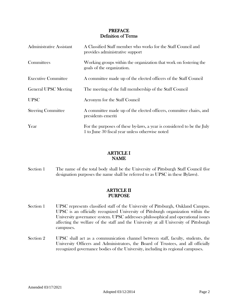# PREFACE Definition of Terms

| <b>Administrative Assistant</b> | A Classified Staff member who works for the Staff Council and<br>provides administrative support                          |
|---------------------------------|---------------------------------------------------------------------------------------------------------------------------|
| Committees                      | Working groups within the organization that work on fostering the<br>goals of the organization.                           |
| <b>Executive Committee</b>      | A committee made up of the elected officers of the Staff Council                                                          |
| <b>General UPSC Meeting</b>     | The meeting of the full membership of the Staff Council                                                                   |
| <b>UPSC</b>                     | Acronym for the Staff Council                                                                                             |
| <b>Steering Committee</b>       | A committee made up of the elected officers, committee chairs, and<br>presidents emeriti                                  |
| Year                            | For the purposes of these by-laws, a year is considered to be the July<br>1 to June 30 fiscal year unless otherwise noted |

# ARTICLE I NAME

Section 1 The name of the total body shall be the University of Pittsburgh Staff Council (for designation purposes the name shall be referred to as UPSC in these Bylaws).

# ARTICLE II PURPOSE

- Section 1 UPSC represents classified staff of the University of Pittsburgh, Oakland Campus. UPSC is an officially recognized University of Pittsburgh organization within the University governance system. UPSC addresses philosophical and operational issues affecting the welfare of the staff and the University at all University of Pittsburgh campuses.
- Section 2 UPSC shall act as a communication channel between staff, faculty, students, the University Officers and Administrators, the Board of Trustees, and all officially recognized governance bodies of the University, including its regional campuses.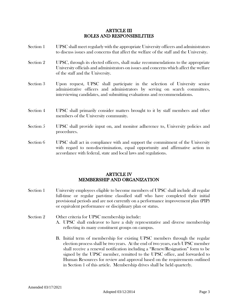#### ARTICLE III ROLES AND RESPONSIBILITIES

- Section 1 UPSC shall meet regularly with the appropriate University officers and administrators to discuss issues and concerns that affect the welfare of the staff and the University. Section 2 UPSC, through its elected officers, shall make recommendations to the appropriate University officials and administrators on issues and concerns which affect the welfare of the staff and the University. Section 3 Upon request, UPSC shall participate in the selection of University senior administrative officers and administrators by serving on search committees, interviewing candidates, and submitting evaluations and recommendations. Section 4 UPSC shall primarily consider matters brought to it by staff members and other members of the University community. Section 5 UPSC shall provide input on, and monitor adherence to, University policies and procedures. Section 6 UPSC shall act in compliance with and support the commitment of the University
- with regard to non-discrimination, equal opportunity and affirmative action in accordance with federal, state and local laws and regulations.

# ARTICLE IV MEMBERSHIP AND ORGANIZATION

- Section 1 University employees eligible to become members of UPSC shall include all regular full-time or regular part-time classified staff who have completed their initial provisional periods and are not currently on a performance improvement plan (PIP) or equivalent performance or disciplinary plan or status.
- Section 2 Other criteria for UPSC membership include: A. UPSC shall endeavor to have a duly representative and diverse membership reflecting its many constituent groups on campus.
	- B. Initial term of membership for existing UPSC members through the regular election process shall be two years. At the end of two years, each UPSC member shall receive a renewal notification including a "Renew/Resignation" form to be signed by the UPSC member, remitted to the UPSC office, and forwarded to Human Resources for review and approval based on the requirements outlined in Section 1 of this article. Membership drives shall be held quarterly.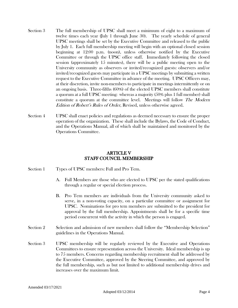- Section 3 The full membership of UPSC shall meet a minimum of eight to a maximum of twelve times each year (July 1 through June 30). The yearly schedule of general UPSC meetings shall be set by the Executive Committee and released to the public by July 1. Each full membership meeting will begin with an optional closed session beginning at 12:00 p.m. (noon), unless otherwise notified by the Executive Committee or through the UPSC office staff. Immediately following the closed session (approximately 15 minutes), there will be a public meeting open to the University community as observers or invited/recognized guests: observers and/or invited/recognized guests may participate in a UPSC meetings by submitting a written request to the Executive Committee in advance of the meeting. UPSC Officers may, at their discretion, invite non-members to participate in meetings intermittently or on an ongoing basis. Three-fifths (60%) of the elected UPSC members shall constitute a quorum at a full UPSC meeting: whereas a majority (50% plus 1 full member) shall constitute a quorum at the committee level. Meetings will follow The Modern Edition of Robert's Rules of Order, Revised, unless otherwise agreed.
- Section 4 UPSC shall enact policies and regulations as deemed necessary to ensure the proper operation of the organization. These shall include the Bylaws, the Code of Conduct, and the Operations Manual, all of which shall be maintained and monitored by the Operations Committee.

# ARTICLE V STAFF COUNCIL MEMBERSHIP

- Section 1 Types of UPSC members: Full and Pro Tem.
	- A. Full Members are those who are elected to UPSC per the stated qualifications through a regular or special election process.
	- B. Pro Tem members are individuals from the University community asked to serve, in a non-voting capacity, on a particular committee or assignment for UPSC. Nominations for pro tem members are submitted to the president for approval by the full membership. Appointments shall be for a specific time period concurrent with the activity in which the person is engaged.
- Section 2 Selection and admission of new members shall follow the "Membership Selection" guidelines in the Operations Manual.
- Section 3 UPSC membership will be regularly reviewed by the Executive and Operations Committees to ensure representation across the University. Ideal membership is up to 75 members. Concerns regarding membership recruitment shall be addressed by the Executive Committee, approved by the Steering Committee, and approved by the full membership, such as but not limited to additional membership drives and increases over the maximum limit.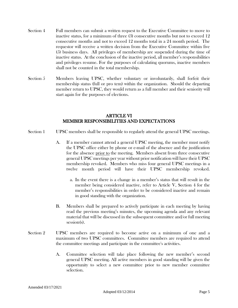- Section 4 Full members can submit a written request to the Executive Committee to move to inactive status, for a minimum of three (3) consecutive months but not to exceed 12 consecutive months and not to exceed 12 months total in a 24 month period. The requestor will receive a written decision from the Executive Committee within five (5) business days. All privileges of membership are suspended during the time of inactive status. At the conclusion of the inactive period, all member's responsibilities and privileges resume. For the purposes of calculating quorums, inactive members shall not be counted in the total membership.
- Section 5 Members leaving UPSC, whether voluntary or involuntarily, shall forfeit their membership status (full or pro tem) within the organization. Should the departing member return to UPSC, they would return as a full member and their seniority will start again for the purposes of elections.

#### ARTICLE VI MEMBER RESPONSIBILITIES AND EXPECTATIONS

- Section 1 UPSC members shall be responsible to regularly attend the general UPSC meetings.
	- A. If a member cannot attend a general UPSC meeting, the member must notify the UPSC office either by phone or e-mail of the absence and the justification for the absence prior to the meeting. Members absent from three consecutive general UPSC meetings per year without prior notification will have their UPSC membership revoked. Members who miss four general UPSC meetings in a twelve month period will have their UPSC membership revoked.
		- a. In the event there is a change in a member's status that will result in the member being considered inactive, refer to Article V, Section 4 for the member's responsibilities in order to be considered inactive and remain in good standing with the organization.
	- B. Members shall be prepared to actively participate in each meeting by having read the previous meeting's minutes, the upcoming agenda and any relevant material that will be discussed in the subsequent committee and/or full meeting session(s).
- Section 2 UPSC members are required to become active on a minimum of one and a maximum of two UPSC committees. Committee members are required to attend the committee meetings and participate in the committee's activities.
	- A. Committee selection will take place following the new member's second general UPSC meeting. All active members in good standing will be given the opportunity to select a new committee prior to new member committee selection.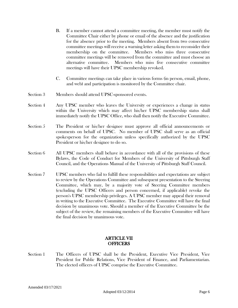- B. If a member cannot attend a committee meeting, the member must notify the Committee Chair either by phone or email of the absence and the justification for the absence prior to the meeting. Members absent from two consecutive committee meetings will receive a warning letter asking them to reconsider their membership on the committee. Members who miss three consecutive committee meetings will be removed from the committee and must choose an alternative committee. Members who miss five consecutive committee meetings will have their UPSC membership revoked.
- C. Committee meetings can take place in various forms (in person, email, phone, and web) and participation is monitored by the Committee chair.
- Section 3 Members should attend UPSC-sponsored events.
- Section 4 Any UPSC member who leaves the University or experiences a change in status within the University which may affect his/her UPSC membership status shall immediately notify the UPSC Office, who shall then notify the Executive Committee.
- Section 5 The President or his/her designee must approve all official announcements or comments on behalf of UPSC. No member of UPSC shall serve as an official spokesperson for the organization unless specifically authorized by the UPSC President or his/her designee to do so.
- Section 6 All UPSC members shall behave in accordance with all of the provisions of these Bylaws, the Code of Conduct for Members of the University of Pittsburgh Staff Council, and the Operations Manual of the University of Pittsburgh Staff Council.
- Section 7 UPSC members who fail to fulfill these responsibilities and expectations are subject to review by the Operations Committee and subsequent presentation to the Steering Committee, which may, by a majority vote of Steering Committee members (excluding the UPSC Officers and person concerned, if applicable) revoke the person's UPSC membership privileges. A UPSC member may appeal their removal in writing to the Executive Committee. The Executive Committee will have the final decision by unanimous vote. Should a member of the Executive Committee be the subject of the review, the remaining members of the Executive Committee will have the final decision by unanimous vote.

# ARTICLE VII **OFFICERS**

Section 1 The Officers of UPSC shall be the President, Executive Vice President, Vice President for Public Relations, Vice President of Finance, and Parliamentarian. The elected officers of UPSC comprise the Executive Committee.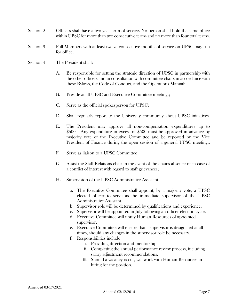- Section 2 Officers shall have a two-year term of service. No person shall hold the same office within UPSC for more than two consecutive terms and no more than four total terms.
- Section 3 Full Members with at least twelve consecutive months of service on UPSC may run for office.
- Section 4 The President shall:
	- A. Be responsible for setting the strategic direction of UPSC in partnership with the other officers and in consultation with committee chairs in accordance with these Bylaws, the Code of Conduct, and the Operations Manual;
	- B. Preside at all UPSC and Executive Committee meetings;
	- C. Serve as the official spokesperson for UPSC;
	- D. Shall regularly report to the University community about UPSC initiatives.
	- E. The President may approve all non-compensation expenditures up to \$500. Any expenditure in excess of \$500 must be approved in advance by majority vote of the Executive Committee and be reported by the Vice President of Finance during the open session of a general UPSC meeting.;
	- F. Serve as liaison to a UPSC Committee
	- G. Assist the Staff Relations chair in the event of the chair's absence or in case of a conflict of interest with regard to staff grievances;
	- H. Supervision of the UPSC Administrative Assistant
		- a. The Executive Committee shall appoint, by a majority vote, a UPSC elected officer to serve as the immediate supervisor of the UPSC Administrative Assistant.
		- b. Supervisor role will be determined by qualifications and experience.
		- c. Supervisor will be appointed in July following an officer election cycle.
		- d. Executive Committee will notify Human Resources of appointed supervisor.
		- e. Executive Committee will ensure that a supervisor is designated at all times, should any changes in the supervisor role be necessary.
		- f. Responsibilities include:
			- i. Providing direction and mentorship.
			- ii. Completing the annual performance review process, including salary adjustment recommendations.
			- **iii.** Should a vacancy occur, will work with Human Resources in hiring for the position.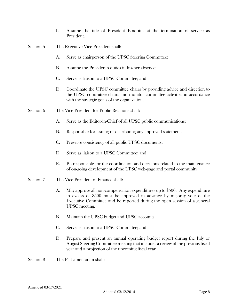- I. Assume the title of President Emeritus at the termination of service as President.
- Section 5 The Executive Vice President shall:
	- A. Serve as chairperson of the UPSC Steering Committee;
	- B. Assume the President's duties in his/her absence;
	- C. Serve as liaison to a UPSC Committee; and
	- D. Coordinate the UPSC committee chairs by providing advice and direction to the UPSC committee chairs and monitor committee activities in accordance with the strategic goals of the organization.
- Section 6 The Vice President for Public Relations shall:
	- A. Serve as the Editor-in-Chief of all UPSC public communications;
	- B. Responsible for issuing or distributing any approved statements;
	- C. Preserve consistency of all public UPSC documents;
	- D. Serve as liaison to a UPSC Committee; and
	- E. Be responsible for the coordination and decisions related to the maintenance of on-going development of the UPSC web-page and portal community
- Section 7 The Vice President of Finance shall:
	- A. May approve all non-compensation expenditures up to \$500. Any expenditure in excess of \$500 must be approved in advance by majority vote of the Executive Committee and be reported during the open session of a general UPSC meeting.
	- B. Maintain the UPSC budget and UPSC accounts
	- C. Serve as liaison to a UPSC Committee; and
	- D. Prepare and present an annual operating budget report during the July or August Steering Committee meeting that includes a review of the previous fiscal year and a projection of the upcoming fiscal year.
- Section 8 The Parliamentarian shall: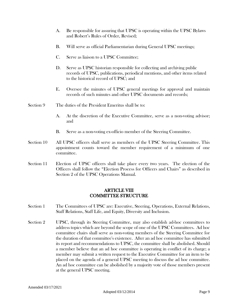- A. Be responsible for assuring that UPSC is operating within the UPSC Bylaws and Robert's Rules of Order, Revised;
- B. Will serve as official Parliamentarian during General UPSC meetings;
- C. Serve as liaison to a UPSC Committee;
- D. Serve as UPSC historian responsible for collecting and archiving public records of UPSC, publications, periodical mentions, and other items related to the historical record of UPSC; and
- E. Oversee the minutes of UPSC general meetings for approval and maintain records of such minutes and other UPSC documents and records;
- Section 9 The duties of the President Emeritus shall be to:
	- A. At the discretion of the Executive Committee, serve as a non-voting advisor; and
	- B. Serve as a non-voting ex-officio member of the Steering Committee.
- Section 10 All UPSC officers shall serve as members of the UPSC Steering Committee. This appointment counts toward the member requirement of a minimum of one committee.
- Section 11 Election of UPSC officers shall take place every two years. The election of the Officers shall follow the "Election Process for Officers and Chairs" as described in Section 2 of the UPSC Operations Manual.

#### ARTICLE VIII COMMITTEE STRUCTURE

- Section 1 The Committees of UPSC are: Executive, Steering, Operations, External Relations, Staff Relations, Staff Life, and Equity, Diversity and Inclusion.
- Section 2 UPSC, through its Steering Committee, may also establish ad-hoc committees to address topics which are beyond the scope of one of the UPSC Committees. Ad hoc committee chairs shall serve as non-voting members of the Steering Committee for the duration of that committee's existence. After an ad hoc committee has submitted its report and recommendations to UPSC, the committee shall be abolished. Should a member believe that an ad hoc committee is operating in conflict of its charge; a member may submit a written request to the Executive Committee for an item to be placed on the agenda of a general UPSC meeting to discuss the ad hoc committee. An ad hoc committee can be abolished by a majority vote of those members present at the general UPSC meeting.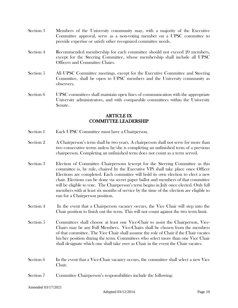- Section 3 Members of the University community may, with a majority of the Executive Committee approval, serve as a non-voting member on a UPSC committee to provide expertise or satisfy other recognized committee needs.
- Section 4 Recommended membership for each committee should not exceed 20 members, except for the Steering Committee, whose membership shall include all UPSC Officers and Committee Chairs.
- Section 5 All UPSC Committee meetings, except for the Executive Committee and Steering Committee, shall be open to UPSC members and the University community as observers.
- Section 6 UPSC committees shall maintain open lines of communication with the appropriate University administrators, and with comparable committees within the University Senate.

#### ARTICLE IX COMMITTEE LEADERSHIP

- Section 1 Each UPSC Committee must have a Chairperson.
- Section 2 A Chairperson's term shall be two years. A chairperson shall not serve for more than two consecutive terms unless he/she is completing an unfinished term of a previous chairperson. Completing an unfinished term does not count as a term served.
- Section 3 Election of Committee Chairpersons (except for the Steering Committee as this committee is, by rule, chaired by the Executive VP) shall take place once Officer Elections are completed. Each committee will hold its own election to elect a new chair. Elections can be done via secret paper ballot and members of that committee will be eligible to vote. The Chairperson's term begins in July once elected. Only full members with at least six months of service by the time of the election are eligible to run for a Chairperson position.
- Section 4 In the event that a Chairperson vacancy occurs, the Vice Chair will step into the Chair position to finish out the term. This will not count against the two term limit.
- Section 5 Committees shall choose at least one Vice-Chair to assist the Chairperson, Vice-Chairs may be any Full Members. Vice-Chairs shall be chosen from the members of that committee. The Vice Chair shall assume the role of Chair if the Chair vacates his/her position during the term. Committees who select more than one Vice Chair shall designate which one shall take over as Chair in the event the Chair vacates.
- Section 6 In the event that a Vice-Chair vacancy occurs, the committee shall select a new Vice Chair.
- Section 7 Committee Chairperson's responsibilities include the following: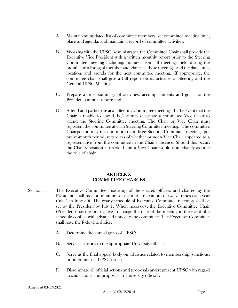- A. Maintain an updated list of committee members, set committee meeting time, place and agenda, and maintain a record of committee activities;
- B. Working with the UPSC Administrator, the Committee Chair shall provide the Executive Vice President with a written monthly report prior to the Steering Committee meeting including: minutes from all meetings held during the month and a listing of member attendance at these meetings; and the date, time, location, and agenda for the next committee meeting. If appropriate, the committee chair shall give a full report on its activities at Steering and the General UPSC Meeting.
- C. Prepare a brief summary of activities, accomplishments and goals for the President's annual report; and
- D. Attend and participate at all Steering Committee meetings. In the event that the Chair is unable to attend, he/she may designate a committee Vice Chair to attend the Steering Committee meeting. The Chair or Vice Chair must represent the committee at each Steering Committee meeting. The committee Chairperson may miss no more than three Steering Committee meetings per twelve-month period, regardless of whether or not a Vice Chair appeared as a representative from the committee in the Chair's absence. Should this occur, the Chair's position is revoked and a Vice Chair would immediately assume the role of chair.

# ARTICLE X COMMITTEE CHARGES

- Section 1 The Executive Committee, made up of the elected officers and chaired by the President, shall meet a minimum of eight to a maximum of twelve times each year (July 1 to June 30). The yearly schedule of Executive Committee meetings shall be set by the President by July 1. When necessary, the Executive Committee Chair (President) has the prerogative to change the date of the meeting in the event of a schedule conflict with advanced notice to the committee. The Executive Committee shall have the following duties:
	- A. Determine the annual goals of UPSC;
	- B. Serve as liaisons to the appropriate University officials;
	- C. Serve as the final appeal body on all issues related to membership, sanctions, or other internal UPSC issues;
	- D. Disseminate all official actions and proposals and represent UPSC with regard to said actions and proposals to University officials;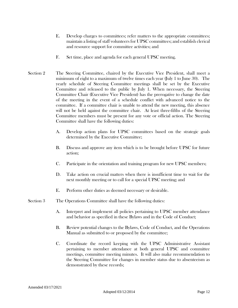- E. Develop charges to committees; refer matters to the appropriate committees; maintain a listing of staff volunteers for UPSC committees; and establish clerical and resource support for committee activities; and
- F. Set time, place and agenda for each general UPSC meeting.
- Section 2 The Steering Committee, chaired by the Executive Vice President, shall meet a minimum of eight to a maximum of twelve times each year (July 1 to June 30). The yearly schedule of Steering Committee meetings shall be set by the Executive Committee and released to the public by July 1. When necessary, the Steering Committee Chair (Executive Vice President) has the prerogative to change the date of the meeting in the event of a schedule conflict with advanced notice to the committee. If a committee chair is unable to attend the new meeting, this absence will not be held against the committee chair. At least three-fifths of the Steering Committee members must be present for any vote or official action. The Steering Committee shall have the following duties:
	- A. Develop action plans for UPSC committees based on the strategic goals determined by the Executive Committee;
	- B. Discuss and approve any item which is to be brought before UPSC for future action;
	- C. Participate in the orientation and training program for new UPSC members;
	- D. Take action on crucial matters when there is insufficient time to wait for the next monthly meeting or to call for a special UPSC meeting; and
	- E. Perform other duties as deemed necessary or desirable.
- Section 3 The Operations Committee shall have the following duties:
	- A. Interpret and implement all policies pertaining to UPSC member attendance and behavior as specified in these Bylaws and in the Code of Conduct;
	- B. Review potential changes to the Bylaws, Code of Conduct, and the Operations Manual as submitted to or proposed by the committee;
	- C. Coordinate the record keeping with the UPSC Administrative Assistant pertaining to member attendance at both general UPSC and committee meetings, committee meeting minutes. It will also make recommendation to the Steering Committee for changes in member status due to absenteeism as demonstrated by these records;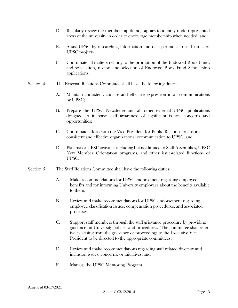- D. Regularly review the membership demographics to identify underrepresented areas of the university in order to encourage membership when needed; and
- E. Assist UPSC by researching information and data pertinent to staff issues or UPSC projects.
- F. Coordinate all matters relating to the promotion of the Endowed Book Fund, and solicitation, review, and selection of Endowed Book Fund Scholarship applications.
- Section 4 The External Relations Committee shall have the following duties:
	- A. Maintain consistent, concise and effective expression in all communications by UPSC;
	- B. Prepare the UPSC Newsletter and all other external UPSC publications designed to increase staff awareness of significant issues, concerns and opportunities;
	- C. Coordinate efforts with the Vice President for Public Relations to ensure consistent and effective organizational communication to UPSC; and
	- D. Plan major UPSC activities including but not limited to Staff Assemblies, UPSC New Member Orientation programs, and other issue-related functions of UPSC.
- Section 5 The Staff Relations Committee shall have the following duties:
	- A. Make recommendations for UPSC endorsement regarding employee benefits and for informing University employees about the benefits available to them;
	- B. Review and make recommendations for UPSC endorsement regarding employee classification issues, compensation procedures, and associated processes;
	- C. Support staff members through the staff grievance procedure by providing guidance on University policies and procedures. The committee shall refer issues arising from the grievance or proceedings to the Executive Vice President to be directed to the appropriate committees;
	- D. Review and make recommendations regarding staff related diversity and inclusion issues, concerns, or initiatives; and
	- E. Manage the UPSC Mentoring Program.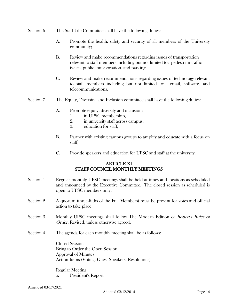#### Section 6 The Staff Life Committee shall have the following duties:

- A. Promote the health, safety and security of all members of the University community;
- B. Review and make recommendations regarding issues of transportation relevant to staff members including but not limited to: pedestrian traffic issues, public transportation, and parking;
- C. Review and make recommendations regarding issues of technology relevant to staff members including but not limited to: email, software, and telecommunications.
- Section 7 The Equity, Diversity, and Inclusion committee shall have the following duties:
	- A. Promote equity, diversity and inclusion:
		- 1. in UPSC membership,
		- 2. in university staff across campus,
		- 3. education for staff;
	- B. Partner with existing campus groups to amplify and educate with a focus on staff;
	- C. Provide speakers and education for UPSC and staff at the university.

# ARTICLE XI STAFF COUNCIL MONTHLY MEETINGS

- Section 1 Regular monthly UPSC meetings shall be held at times and locations as scheduled and announced by the Executive Committee. The closed session as scheduled is open to UPSC members only.
- Section 2 A quorum (three-fifths of the Full Members) must be present for votes and official action to take place.
- Section 3 Monthly UPSC meetings shall follow The Modern Edition of *Robert's Rules of* Order, Revised, unless otherwise agreed.
- Section 4 The agenda for each monthly meeting shall be as follows:

Closed Session Bring to Order the Open Session Approval of Minutes Action Items (Voting, Guest Speakers, Resolutions)

Regular Meeting a. President's Report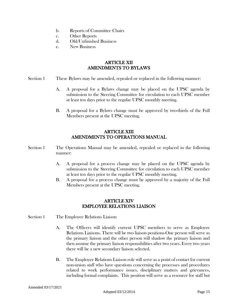- b. Reports of Committee Chairs
- c. Other Reports
- d. Old/Unfinished Business
- e. New Business

# ARTICLE XII AMENDMENTS TO BYLAWS

- Section 1 These Bylaws may be amended, repealed or replaced in the following manner:
	- A. A proposal for a Bylaws change may be placed on the UPSC agenda by submission to the Steering Committee for circulation to each UPSC member at least ten days prior to the regular UPSC monthly meeting.
	- B. A proposal for a Bylaws change must be approved by two-thirds of the Full Members present at the UPSC meeting.

# ARTICLE XIII AMENDMENTS TO OPERATIONS MANUAL

- Section 1 The Operations Manual may be amended, repealed or replaced in the following manner:
	- A. A proposal for a process change may be placed on the UPSC agenda by submission to the Steering Committee for circulation to each UPSC member at least ten days prior to the regular UPSC monthly meeting.
	- B. A proposal for a process change must be approved by a majority of the Full Members present at the UPSC meeting.

#### ARTICLE XIV EMPLOYEE RELATIONS LIAISON

- Section 1 The Employee Relations Liaison
	- A. The Officers will identify current UPSC members to serve as Employee Relations Liaisons. There will be two liaison positions-One person will serve as the primary liaison and the other person will shadow the primary liaison and then assume the primary liaison responsibilities after two years. Every two years there will be a new secondary liaison selected.
	- B. The Employee Relations Liaison role will serve as a point of contact for current non-union staff who have questions concerning the processes and procedures related to work performance issues, disciplinary matters and grievances, including formal complaints. This position will serve as a resource for staff but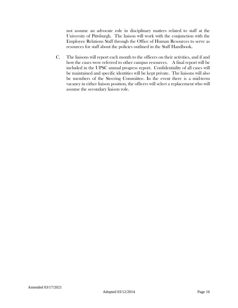not assume an advocate role in disciplinary matters related to staff at the University of Pittsburgh. The liaison will work with the conjunction with the Employee Relations Staff through the Office of Human Resources to serve as resources for staff about the policies outlined in the Staff Handbook.

C. The liaisons will report each month to the officers on their activities, and if and how the cases were referred to other campus resources. A final report will be included in the UPSC annual progress report. Confidentiality of all cases will be maintained and specific identities will be kept private. The liaisons will also be members of the Steering Committee. In the event there is a mid-term vacancy in either liaison position, the officers will select a replacement who will assume the secondary liaison role.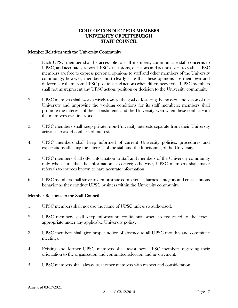# CODE OF CONDUCT FOR MEMBERS UNIVERSITY OF PITTSBURGH STAFF COUNCIL

#### Member Relations with the University Community

- 1. Each UPSC member shall be accessible to staff members, communicate staff concerns to UPSC, and accurately report UPSC discussions, decisions and actions back to staff. UPSC members are free to express personal opinions to staff and other members of the University community; however, members must clearly state that these opinions are their own and differentiate them from UPSC positions and actions when differences exist. UPSC members shall not misrepresent any UPSC action, position or decision to the University community.
- 2. UPSC members shall work actively toward the goal of fostering the mission and vision of the University and improving the working conditions for its staff members; members shall promote the interests of their constituents and the University even when these conflict with the member's own interests.
- 3. UPSC members shall keep private, non-University interests separate from their University activities to avoid conflicts of interest.
- 4. UPSC members shall keep informed of current University policies, procedures and expectations affecting the interests of the staff and the functioning of the University.
- 5. UPSC members shall offer information to staff and members of the University community only when sure that the information is correct; otherwise, UPSC members shall make referrals to sources known to have accurate information.
- 6. UPSC members shall strive to demonstrate competence, fairness, integrity and conscientious behavior as they conduct UPSC business within the University community.

#### Member Relations to the Staff Council

- 1. UPSC members shall not use the name of UPSC unless so authorized.
- 2. UPSC members shall keep information confidential when so requested to the extent appropriate under any applicable University policy.
- 3. UPSC members shall give proper notice of absence to all UPSC monthly and committee meetings.
- 4. Existing and former UPSC members shall assist new UPSC members regarding their orientation to the organization and committee selection and involvement.
- 5. UPSC members shall always treat other members with respect and consideration.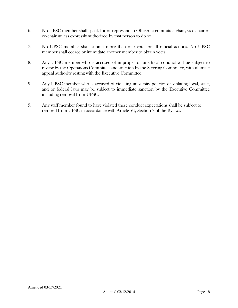- 6. No UPSC member shall speak for or represent an Officer, a committee chair, vice-chair or co-chair unless expressly authorized by that person to do so.
- 7. No UPSC member shall submit more than one vote for all official actions. No UPSC member shall coerce or intimidate another member to obtain votes.
- 8. Any UPSC member who is accused of improper or unethical conduct will be subject to review by the Operations Committee and sanction by the Steering Committee, with ultimate appeal authority resting with the Executive Committee.
- 9. Any UPSC member who is accused of violating university policies or violating local, state, and or federal laws may be subject to immediate sanction by the Executive Committee including removal from UPSC.
- 9. Any staff member found to have violated these conduct expectations shall be subject to removal from UPSC in accordance with Article VI, Section 7 of the Bylaws.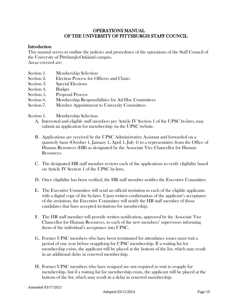# OPERATIONS MANUAL OF THE UNIVERSITY OF PITTSBURGH STAFF COUNCIL

#### **Introduction**

This manual serves to outline the policies and procedures of the operations of the Staff Council of the University of Pittsburgh-Oakland campus.

Areas covered are:

- Section 1. Membership Selection
- Section 2. Election Process for Officers and Chairs
- Section 3. Special Elections
- Section 4. Budget
- Section 5. Proposal Process
- Section 6. Membership Responsibilities for Ad Hoc Committees
- Section 7. Member Appointment to University Committees

Section 1. Membership Selection

- A. Interested and eligible staff members per Article IV Section 1 of the UPSC by-laws, may submit an application for membership via the UPSC website.
- B. Applications are received by the UPSC Administrative Assistant and forwarded on a quarterly basis (October 1, January 1, April 1, July 1) to a representative from the Office of Human Resources (HR) as designated by the Associate Vice Chancellor for Human Resources.
- C. The designated HR staff member reviews each of the applications to verify eligibility based on Article IV Section 1 of the UPSC by-laws.
- D. Once eligibility has been verified, the HR staff member notifies the Executive Committee.
- E. The Executive Committee will send an official invitation to each of the eligible applicants with a digital copy of the by-laws. Upon written confirmation of the applicant's acceptance of the invitation, the Executive Committee will notify the HR staff member of those candidates that have accepted invitations for membership.
- F. The HR staff member will provide written notification, approved by the Associate Vice Chancellor for Human Resources, to each of the new members' supervisors informing them of the individual's acceptance into UPSC.
- G. Former UPSC members who have been terminated for attendance issues must wait a period of one year before reapplying for UPSC membership. If a waiting list for membership exists, the applicant will be placed at the bottom of the list, which may result in an additional delay in renewed membership.
- H. Former UPSC members who have resigned are not required to wait to reapply for membership, but if a waiting list for membership exists, the applicant will be placed at the bottom of the list, which may result in a delay in renewed membership.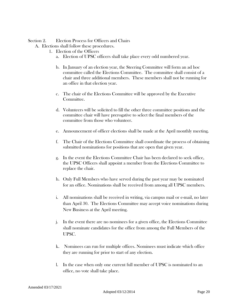Section 2. Election Process for Officers and Chairs

A. Elections shall follow these procedures.

- 1. Election of the Officers
	- a. Election of UPSC officers shall take place every odd numbered year.
	- b. In January of an election year, the Steering Committee will form an ad hoc committee called the Elections Committee. The committee shall consist of a chair and three additional members. These members shall not be running for an office in that election year.
	- c. The chair of the Elections Committee will be approved by the Executive Committee.
	- d. Volunteers will be solicited to fill the other three committee positions and the committee chair will have prerogative to select the final members of the committee from those who volunteer.
	- e. Announcement of officer elections shall be made at the April monthly meeting.
	- f. The Chair of the Elections Committee shall coordinate the process of obtaining submitted nominations for positions that are open that given year.
	- g. In the event the Elections Committee Chair has been declared to seek office, the UPSC Officers shall appoint a member from the Elections Committee to replace the chair.
	- h. Only Full Members who have served during the past year may be nominated for an office. Nominations shall be received from among all UPSC members.
	- i. All nominations shall be received in writing, via campus mail or e-mail, no later than April 30. The Elections Committee may accept voice nominations during New Business at the April meeting.
	- j. In the event there are no nominees for a given office, the Elections Committee shall nominate candidates for the office from among the Full Members of the UPSC.
	- k. Nominees can run for multiple offices. Nominees must indicate which office they are running for prior to start of any election.
	- l. In the case when only one current full member of UPSC is nominated to an office, no vote shall take place.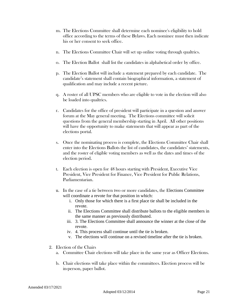- m. The Elections Committee shall determine each nominee's eligibility to hold office according to the terms of these Bylaws. Each nominee must then indicate his or her consent to seek office.
- n. The Elections Committee Chair will set up online voting through qualtrics.
- o. The Election Ballot shall list the candidates in alphabetical order by office.
- p. The Election Ballot will include a statement prepared by each candidate. The candidate's statement shall contain biographical information, a statement of qualification and may include a recent picture.
- q. A roster of all UPSC members who are eligible to vote in the election will also be loaded into qualtrics.
- r. Candidates for the office of president will participate in a question and answer forum at the May general meeting. The Elections committee will solicit questions from the general membership starting in April. All other positions will have the opportunity to make statements that will appear as part of the elections portal.
- s. Once the nominating process is complete, the Elections Committee Chair shall enter into the Elections Ballots the list of candidates, the candidates' statements, and the roster of eligible voting members as well as the dates and times of the election period.
- t. Each election is open for 48 hours starting with President, Executive Vice President, Vice President for Finance, Vice President for Public Relations, Parliamentarian.
- u. In the case of a tie between two or more candidates, the Elections Committee will coordinate a revote for that position in which:
	- i. Only those for which there is a first place tie shall be included in the revote.
	- ii. The Elections Committee shall distribute ballots to the eligible members in the same manner as previously distributed.
	- iii. 3. The Elections Committee shall announce the winner at the close of the revote.
	- iv. 4. This process shall continue until the tie is broken.
	- v. The elections will continue on a revised timeline after the tie is broken.
- 2. Election of the Chairs
	- a. Committee Chair elections will take place in the same year as Officer Elections.
	- b. Chair elections will take place within the committees. Election process will be in-person, paper ballot.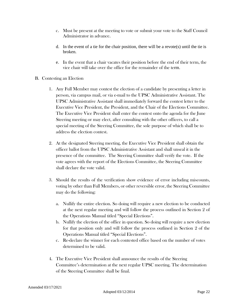- c. Must be present at the meeting to vote or submit your vote to the Staff Council Administrator in advance.
- d. In the event of a tie for the chair position, there will be a revote(s) until the tie is broken.
- e. In the event that a chair vacates their position before the end of their term, the vice chair will take over the office for the remainder of the term.
- B. Contesting an Election
	- 1. Any Full Member may contest the election of a candidate by presenting a letter in person, via campus mail, or via e-mail to the UPSC Administrative Assistant. The UPSC Administrative Assistant shall immediately forward the contest letter to the Executive Vice President, the President, and the Chair of the Elections Committee. The Executive Vice President shall enter the contest onto the agenda for the June Steering meeting or may elect, after consulting with the other officers, to call a special meeting of the Steering Committee, the sole purpose of which shall be to address the election contest.
	- 2. At the designated Steering meeting, the Executive Vice President shall obtain the officer ballot from the UPSC Administrative Assistant and shall unseal it in the presence of the committee. The Steering Committee shall verify the vote. If the vote agrees with the report of the Elections Committee, the Steering Committee shall declare the vote valid.
	- 3. Should the results of the verification show evidence of error including miscounts, voting by other than Full Members, or other reversible error, the Steering Committee may do the following:
		- a. Nullify the entire election. So doing will require a new election to be conducted at the next regular meeting and will follow the process outlined in Section 2 of the Operations Manual titled "Special Elections".
		- b. Nullify the election of the office in question. So doing will require a new election for that position only and will follow the process outlined in Section 2 of the Operations Manual titled "Special Elections".
		- c. Re-declare the winner for each contested office based on the number of votes determined to be valid.
	- 4. The Executive Vice President shall announce the results of the Steering Committee's determination at the next regular UPSC meeting. The determination of the Steering Committee shall be final.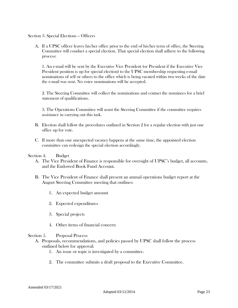Section 3. Special Elections – Officers

A. If a UPSC officer leaves his/her office prior to the end of his/her term of office, the Steering Committee will conduct a special election. That special election shall adhere to the following process:

1. An e-mail will be sent by the Executive Vice President (or President if the Executive Vice President position is up for special election) to the UPSC membership requesting e-mail nominations of self or others to the office which is being vacated within two weeks of the date the e-mail was sent. No voice nominations will be accepted.

2. The Steering Committee will collect the nominations and contact the nominees for a brief statement of qualifications.

3. The Operations Committee will assist the Steering Committee if the committee requires assistance in carrying out this task.

- B. Election shall follow the procedures outlined in Section 2 for a regular election with just one office up for vote.
- C. If more than one unexpected vacancy happens at the same time, the appointed election committee can redesign the special election accordingly.

#### Section 4. Budget

- A. The Vice President of Finance is responsible for oversight of UPSC's budget, all accounts, and the Endowed Book Fund Account.
- B. The Vice President of Finance shall present an annual operations budget report at the August Steering Committee meeting that outlines:
	- 1. An expected budget amount
	- 2. Expected expenditures
	- 3. Special projects
	- 4. Other items of financial concern

#### Section 5. Proposal Process

- A. Proposals, recommendations, and policies passed by UPSC shall follow the process outlined below for approval:
	- 1. An issue or topic is investigated by a committee.
	- 2. The committee submits a draft proposal to the Executive Committee.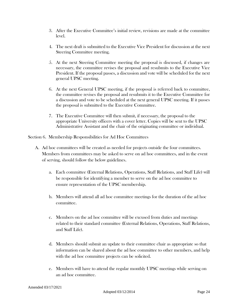- 3. After the Executive Committee's initial review, revisions are made at the committee level.
- 4. The next draft is submitted to the Executive Vice President for discussion at the next Steering Committee meeting.
- 5. At the next Steering Committee meeting the proposal is discussed, if changes are necessary, the committee revises the proposal and resubmits to the Executive Vice President. If the proposal passes, a discussion and vote will be scheduled for the next general UPSC meeting.
- 6. At the next General UPSC meeting, if the proposal is referred back to committee, the committee revises the proposal and resubmits it to the Executive Committee for a discussion and vote to be scheduled at the next general UPSC meeting. If it passes the proposal is submitted to the Executive Committee.
- 7. The Executive Committee will then submit, if necessary, the proposal to the appropriate University officers with a cover letter. Copies will be sent to the UPSC Administrative Assistant and the chair of the originating committee or individual.

Section 6. Membership Responsibilities for Ad Hoc Committees

- A. Ad hoc committees will be created as needed for projects outside the four committees. Members from committees may be asked to serve on ad hoc committees, and in the event of serving, should follow the below guidelines.
	- a. Each committee (External Relations, Operations, Staff Relations, and Staff Life) will be responsible for identifying a member to serve on the ad hoc committee to ensure representation of the UPSC membership.
	- b. Members will attend all ad hoc committee meetings for the duration of the ad hoc committee.
	- c. Members on the ad hoc committee will be excused from duties and meetings related to their standard committee (External Relations, Operations, Staff Relations, and Staff Life).
	- d. Members should submit an update to their committee chair as appropriate so that information can be shared about the ad hoc committee to other members, and help with the ad hoc committee projects can be solicited.
	- e. Members will have to attend the regular monthly UPSC meetings while serving on an ad hoc committee.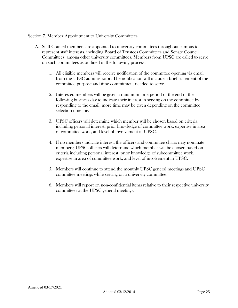Section 7. Member Appointment to University Committees

- A. Staff Council members are appointed to university committees throughout campus to represent staff interests, including Board of Trustees Committees and Senate Council Committees, among other university committees. Members from UPSC are called to serve on such committees as outlined in the following process.
	- 1. All eligible members will receive notification of the committee opening via email from the UPSC administrator. The notification will include a brief statement of the committee purpose and time commitment needed to serve.
	- 2. Interested members will be given a minimum time period of the end of the following business day to indicate their interest in serving on the committee by responding to the email; more time may be given depending on the committee selection timeline.
	- 3. UPSC officers will determine which member will be chosen based on criteria including personal interest, prior knowledge of committee work, expertise in area of committee work, and level of involvement in UPSC.
	- 4. If no members indicate interest, the officers and committee chairs may nominate members; UPSC officers will determine which member will be chosen based on criteria including personal interest, prior knowledge of subcommittee work, expertise in area of committee work, and level of involvement in UPSC.
	- 5. Members will continue to attend the monthly UPSC general meetings and UPSC committee meetings while serving on a university committee.
	- 6. Members will report on non-confidential items relative to their respective university committees at the UPSC general meetings.